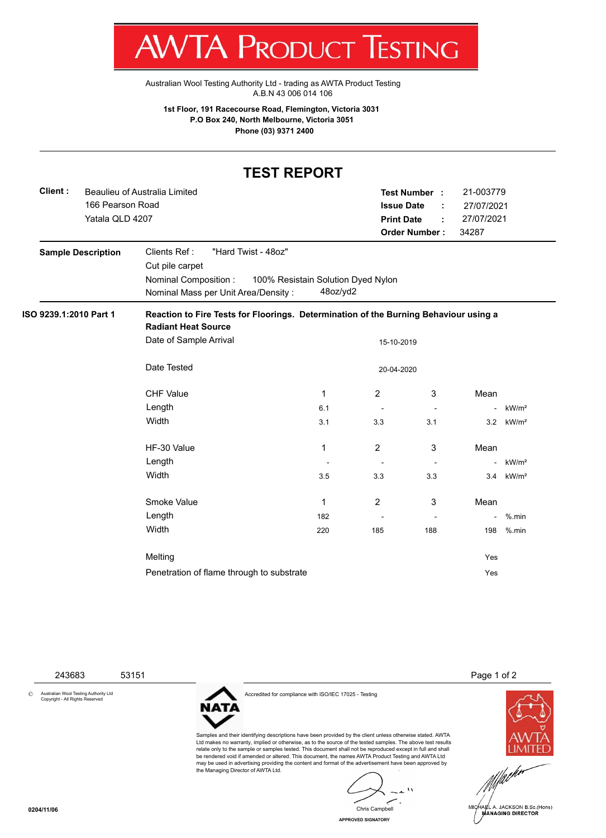I W **VI/VI KULUULI IEJIIINU** 

[Australian Wool Testing Authority Ltd - trading as AWTA Product Testing](http://www.awtaproducttesting.com.au/) A.B.N 43 006 014 106

**1st Floor, 191 Racecourse Road, Flemington, Victoria 3031 P.O Box 240, North Melbourne, Victoria 3051 Phone (03) 9371 2400**

## **TEST REPORT**

| Client:                | Beaulieu of Australia Limited<br>166 Pearson Road<br>Yatala QLD 4207 |                                                                                                                                                                          |              | <b>Issue Date</b><br><b>Print Date</b> | Test Number :<br>÷<br><b>Order Number:</b> | 34287                    | 21-003779<br>27/07/2021<br>27/07/2021 |  |  |  |  |
|------------------------|----------------------------------------------------------------------|--------------------------------------------------------------------------------------------------------------------------------------------------------------------------|--------------|----------------------------------------|--------------------------------------------|--------------------------|---------------------------------------|--|--|--|--|
|                        | <b>Sample Description</b>                                            | Clients Ref:<br>"Hard Twist - 48oz"<br>Cut pile carpet<br>Nominal Composition :<br>100% Resistain Solution Dyed Nylon<br>48oz/yd2<br>Nominal Mass per Unit Area/Density: |              |                                        |                                            |                          |                                       |  |  |  |  |
| ISO 9239.1:2010 Part 1 |                                                                      | Reaction to Fire Tests for Floorings. Determination of the Burning Behaviour using a<br><b>Radiant Heat Source</b>                                                       |              |                                        |                                            |                          |                                       |  |  |  |  |
|                        |                                                                      | Date of Sample Arrival<br>15-10-2019                                                                                                                                     |              |                                        |                                            |                          |                                       |  |  |  |  |
|                        |                                                                      | Date Tested                                                                                                                                                              |              |                                        |                                            |                          |                                       |  |  |  |  |
|                        |                                                                      | <b>CHF Value</b>                                                                                                                                                         | 1            | 2                                      | 3                                          | Mean                     |                                       |  |  |  |  |
|                        |                                                                      | Length                                                                                                                                                                   | 6.1          |                                        |                                            |                          | kW/m <sup>2</sup>                     |  |  |  |  |
|                        |                                                                      | Width                                                                                                                                                                    | 3.1          | 3.3                                    | 3.1                                        | 3.2                      | kW/m <sup>2</sup>                     |  |  |  |  |
|                        |                                                                      | HF-30 Value                                                                                                                                                              | 1            | 2                                      | 3                                          | Mean                     |                                       |  |  |  |  |
|                        |                                                                      | Length                                                                                                                                                                   |              | $\overline{\phantom{a}}$               | $\overline{\phantom{a}}$                   |                          | kW/m <sup>2</sup>                     |  |  |  |  |
|                        |                                                                      | Width                                                                                                                                                                    | 3.5          | 3.3                                    | 3.3                                        | 3.4                      | kW/m <sup>2</sup>                     |  |  |  |  |
|                        |                                                                      | Smoke Value                                                                                                                                                              | $\mathbf{1}$ | $\overline{2}$                         | 3                                          | Mean                     |                                       |  |  |  |  |
|                        |                                                                      | Length                                                                                                                                                                   | 182          |                                        | $\overline{\phantom{a}}$                   | $\overline{\phantom{a}}$ | $%$ .min                              |  |  |  |  |
|                        |                                                                      | Width                                                                                                                                                                    | 220          | 185                                    | 188                                        | 198                      | $%$ .min                              |  |  |  |  |
|                        |                                                                      | Melting                                                                                                                                                                  |              |                                        |                                            | Yes                      |                                       |  |  |  |  |
|                        |                                                                      | Penetration of flame through to substrate                                                                                                                                |              |                                        |                                            | Yes                      |                                       |  |  |  |  |

243683 53151 Page 1 of 2

© Australian Wool Testing Authority Ltd Copyright - All Rights Reserved



Accredited for compliance with ISO/IEC 17025 - Testing

Samples and their identifying descriptions have been provided by the client unless otherwise stated. AWTA Ltd makes no warranty, implied or otherwise, as to the source of the tested samples. The above test results relate only to the sample or samples tested. This document shall not be reproduced except in full and shall be rendered void if amended or altered. This document, the names AWTA Product Testing and AWTA Ltd may be used in advertising providing the content and format of the advertisement have been approved by the Managing Director of AWTA Ltd.

 $\mathbf{A}$ Chris Campbell

**APPROVED SIGNATORY**



MICHAEL A. JACKSON B.Sc.(Hons) **MANAGING DIRECTOR**